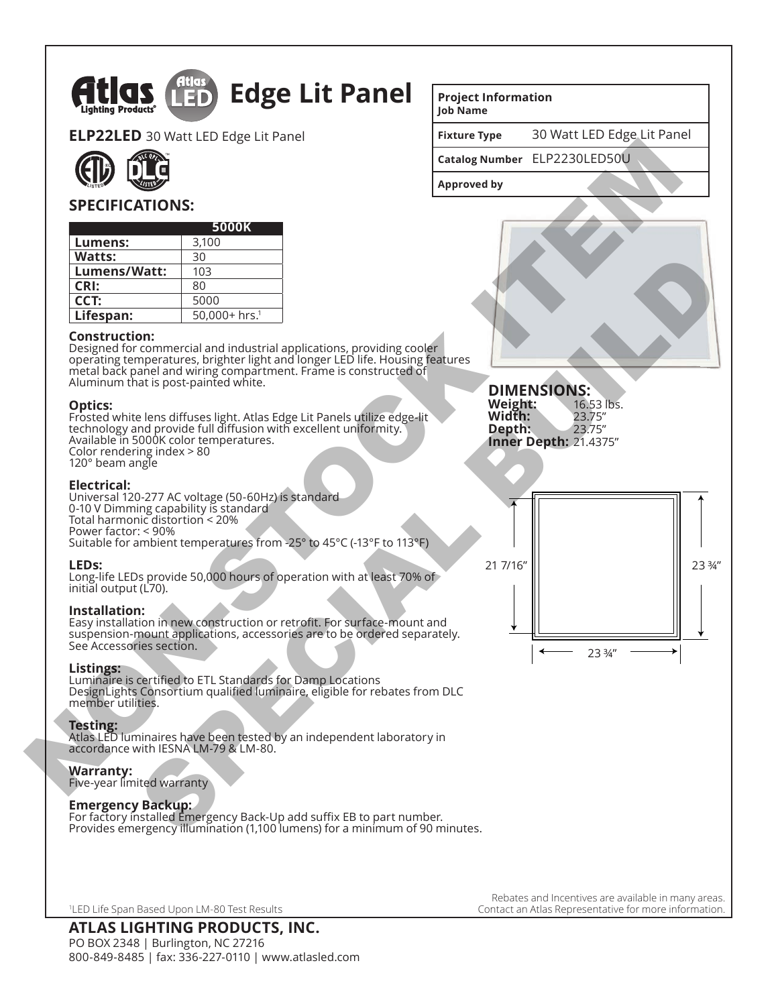

PO BOX 2348 | Burlington, NC 27216 800-849-8485 | fax: 336-227-0110 | www.atlasled.com